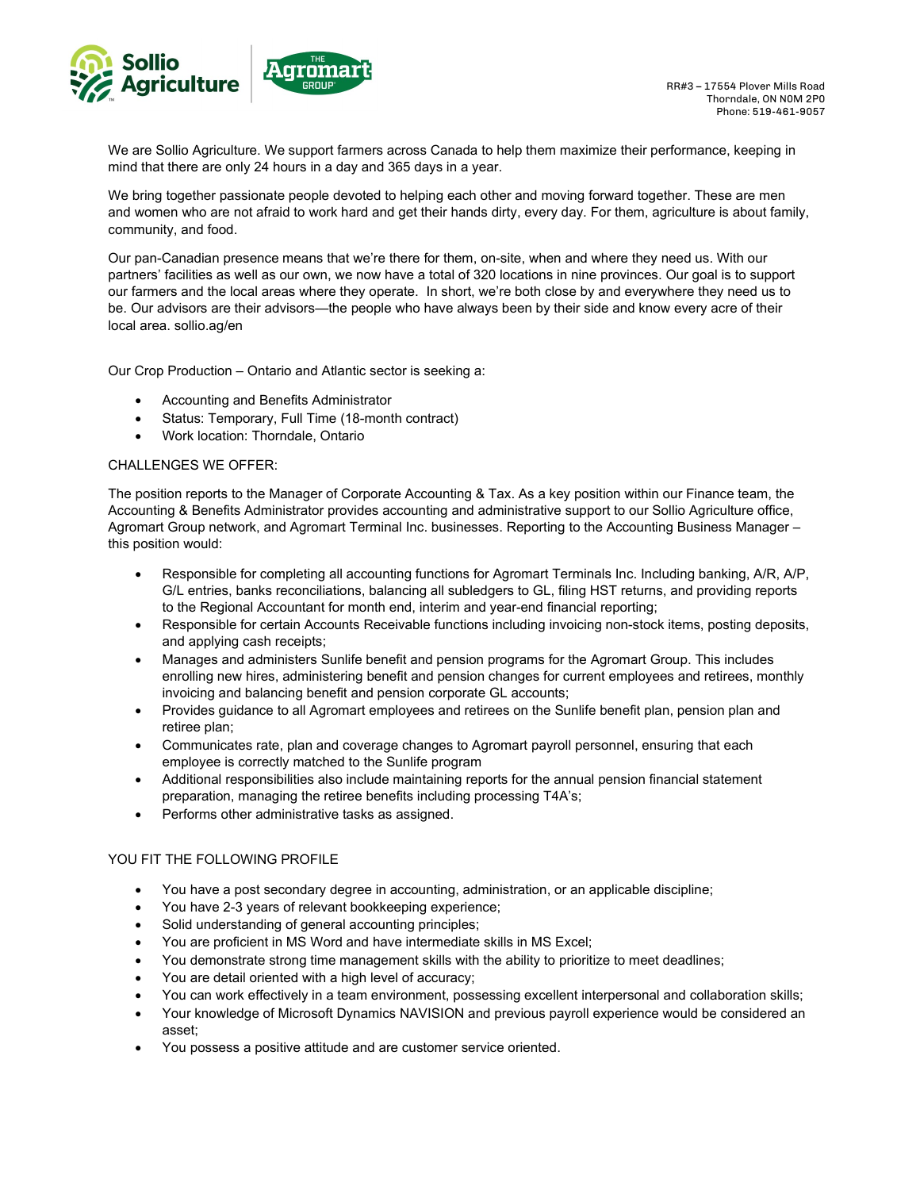

We are Sollio Agriculture. We support farmers across Canada to help them maximize their performance, keeping in mind that there are only 24 hours in a day and 365 days in a year.

We bring together passionate people devoted to helping each other and moving forward together. These are men and women who are not afraid to work hard and get their hands dirty, every day. For them, agriculture is about family, community, and food.

Our pan-Canadian presence means that we're there for them, on-site, when and where they need us. With our partners' facilities as well as our own, we now have a total of 320 locations in nine provinces. Our goal is to support our farmers and the local areas where they operate. In short, we're both close by and everywhere they need us to be. Our advisors are their advisors—the people who have always been by their side and know every acre of their local area. sollio.ag/en

Our Crop Production – Ontario and Atlantic sector is seeking a:

- Accounting and Benefits Administrator
- Status: Temporary, Full Time (18-month contract)
- Work location: Thorndale, Ontario

## CHALLENGES WE OFFER:

The position reports to the Manager of Corporate Accounting & Tax. As a key position within our Finance team, the Accounting & Benefits Administrator provides accounting and administrative support to our Sollio Agriculture office, Agromart Group network, and Agromart Terminal Inc. businesses. Reporting to the Accounting Business Manager – this position would:

- Responsible for completing all accounting functions for Agromart Terminals Inc. Including banking, A/R, A/P, G/L entries, banks reconciliations, balancing all subledgers to GL, filing HST returns, and providing reports to the Regional Accountant for month end, interim and year-end financial reporting;
- Responsible for certain Accounts Receivable functions including invoicing non-stock items, posting deposits, and applying cash receipts;
- Manages and administers Sunlife benefit and pension programs for the Agromart Group. This includes enrolling new hires, administering benefit and pension changes for current employees and retirees, monthly invoicing and balancing benefit and pension corporate GL accounts;
- Provides guidance to all Agromart employees and retirees on the Sunlife benefit plan, pension plan and retiree plan;
- Communicates rate, plan and coverage changes to Agromart payroll personnel, ensuring that each employee is correctly matched to the Sunlife program
- Additional responsibilities also include maintaining reports for the annual pension financial statement preparation, managing the retiree benefits including processing T4A's;
- Performs other administrative tasks as assigned.

## YOU FIT THE FOLLOWING PROFILE

- You have a post secondary degree in accounting, administration, or an applicable discipline;
- You have 2-3 years of relevant bookkeeping experience;
- Solid understanding of general accounting principles;
- You are proficient in MS Word and have intermediate skills in MS Excel;
- You demonstrate strong time management skills with the ability to prioritize to meet deadlines;
- You are detail oriented with a high level of accuracy;
- You can work effectively in a team environment, possessing excellent interpersonal and collaboration skills;
- Your knowledge of Microsoft Dynamics NAVISION and previous payroll experience would be considered an asset;
- You possess a positive attitude and are customer service oriented.